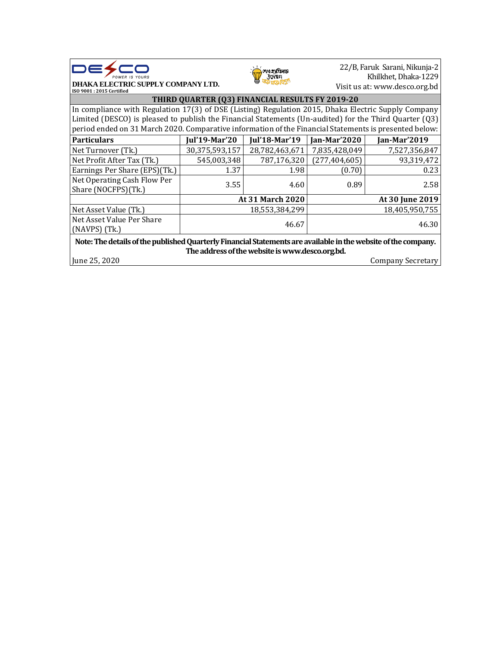



22/B, Faruk Sarani, Nikunja-2 Khilkhet, Dhaka-1229 Visit us at: [www.desco.org.bd](http://www.desco.org.bd/)

**ISO 9001 : 2015 Certified THIRD QUARTER (Q3) FINANCIAL RESULTS FY 2019-20** In compliance with Regulation 17(3) of DSE (Listing) Regulation 2015, Dhaka Electric Supply Company Limited (DESCO) is pleased to publish the Financial Statements (Un-audited) for the Third Quarter (Q3) period ended on 31 March 2020. Comparative information of the Financial Statements is presented below: **Particulars Jul'19-Mar'20 Jul'18-Mar'19 Jan-Mar'2020 Jan-Mar'2019** Net Turnover (Tk.) 30,375,593,157 28,782,463,671 7,835,428,049 7,527,356,847 Net Profit After Tax (Tk.)  $\begin{array}{|c|c|c|c|c|c|c|c|} \hline \text{545,003,348} & \text{787,176,320} & \text{(277,404,605)} \hline \end{array}$  93,319,472 Earnings Per Share  $(EPS)(Tk.)$  1.37 1.98 (0.70) 1.98 Net Operating Cash Flow Per Share (NOCFPS)(Tk.) **3.55** 4.60 0.89 2.58 **At 31 March 2020 At 30 June 2019** Net Asset Value (Tk.)  $18,553,384,299$  18,405,950,755 Net Asset Value Per Share (NAVPS) (Tk.)  $46.30$ <br>(NAVPS) (Tk.)  $46.30$ **Note: The details of the published Quarterly Financial Statements are available in the website of the company. The address of the website is www.desco.org.bd.** June 25, 2020 Company Secretary